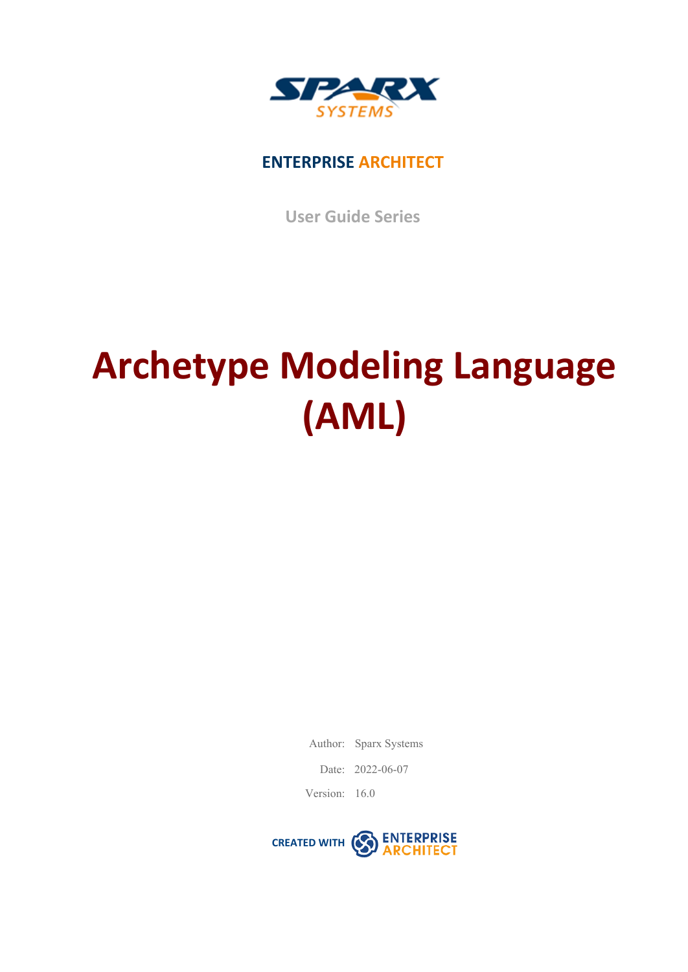

## **ENTERPRISE ARCHITECT**

**User Guide Series**

# **Archetype Modeling Language (AML)**

Author: Sparx Systems

Date: 2022-06-07

Version: 16.0

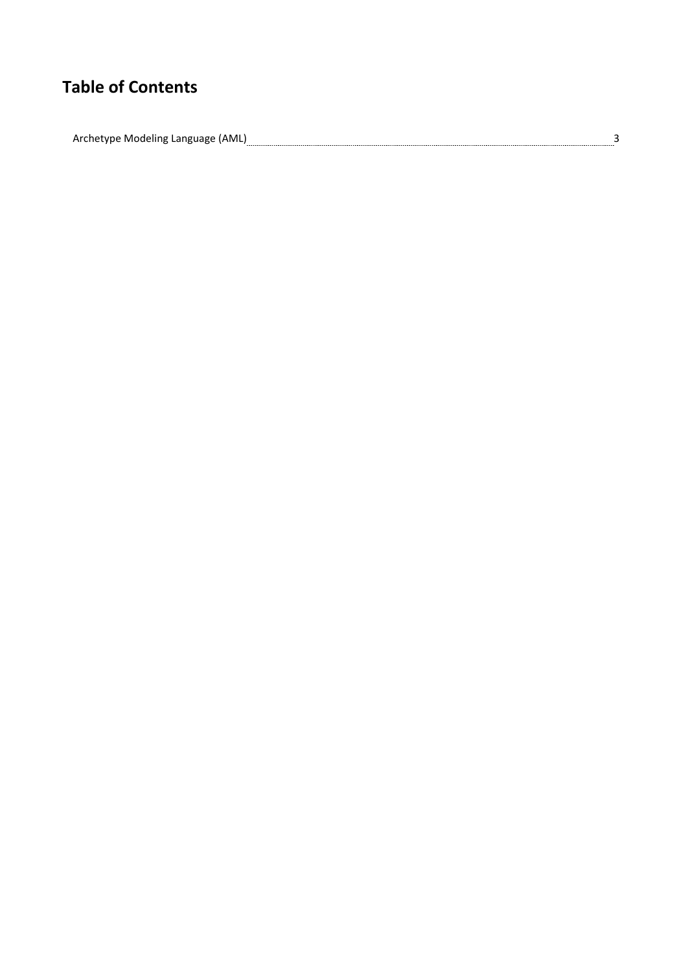# **Table of Contents**

Archetype Modeling Language (AML)<sub></sub> 333 and 2014 and 2014 and 2014 and 2014 and 2014 and 2014 and 2014 and 2014 and 2014 and 2014 and 2014 and 2014 and 2014 and 2014 and 2014 and 2014 and 2014 and 2014 and 2014 and 2014 an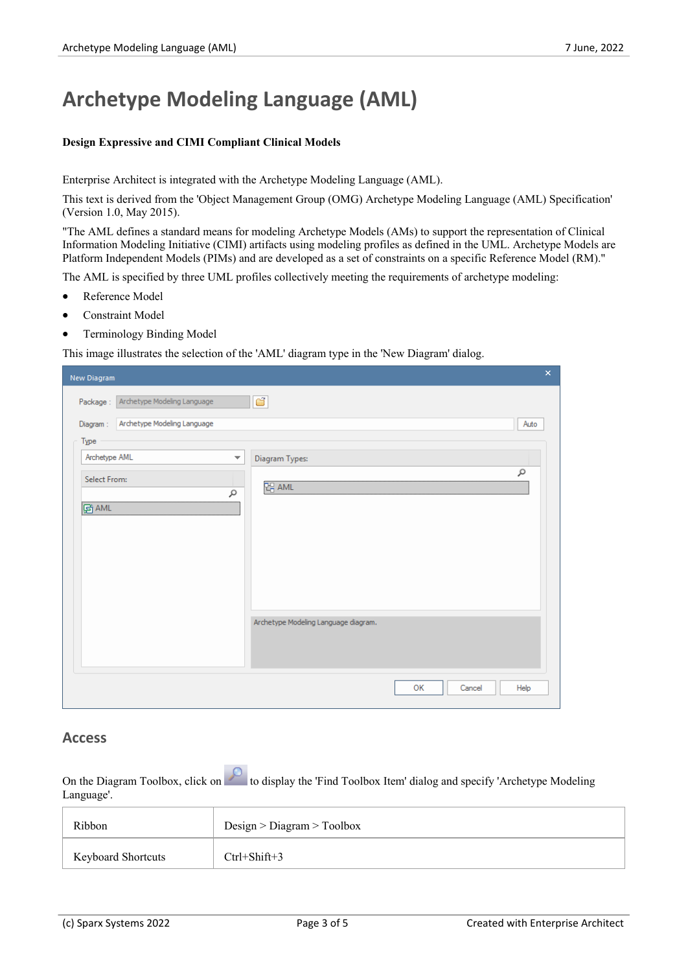# **Archetype Modeling Language (AML)**

#### **Design Expressive and CIMI Compliant Clinical Models**

Enterprise Architect is integrated with the Archetype Modeling Language (AML).

This text is derived from the 'Object Management Group (OMG) Archetype Modeling Language (AML) Specification' (Version 1.0, May 2015).

"The AML defines a standard means for modeling Archetype Models (AMs) to support the representation of Clinical Information Modeling Initiative (CIMI) artifacts using modeling profiles as defined in the UML. Archetype Models are Platform Independent Models (PIMs) and are developed as a set of constraints on a specific Reference Model (RM)."

The AML is specified by three UML profiles collectively meeting the requirements of archetype modeling:

- Reference Model
- Constraint Model
- Terminology Binding Model

This image illustrates the selection of the 'AML' diagram type in the 'New Diagram' dialog.

| New Diagram                                                | $\pmb{\times}$ |
|------------------------------------------------------------|----------------|
| đ<br>Package: Archetype Modeling Language                  |                |
| Archetype Modeling Language<br>Diagram:                    | Auto           |
| Type                                                       |                |
| Archetype AML<br>$\overline{\mathbf{v}}$<br>Diagram Types: |                |
| Select From:<br><b>PH</b> AML<br>٩                         | ٩              |
| <b>G</b> AML                                               |                |
|                                                            |                |
|                                                            |                |
|                                                            |                |
|                                                            |                |
| Archetype Modeling Language diagram.                       |                |
|                                                            |                |
|                                                            |                |
| OК<br>Cancel                                               | Help           |

### **Access**

On the Diagram Toolbox, click on the display the 'Find Toolbox Item' dialog and specify 'Archetype Modeling' Language'.

| Ribbon                    | Design > Diagram > Toolbox |
|---------------------------|----------------------------|
| <b>Keyboard Shortcuts</b> | Ctrl+Shift+3               |